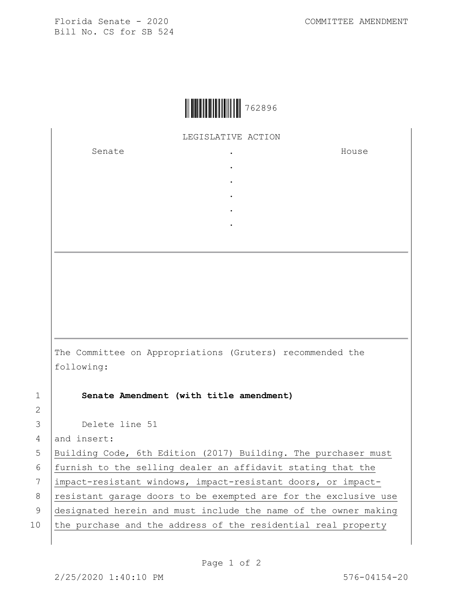Florida Senate - 2020 COMMITTEE AMENDMENT Bill No. CS for SB 524



LEGISLATIVE ACTION

. . . . .

Senate the senate of the senate  $\cdot$ 

House

The Committee on Appropriations (Gruters) recommended the following:

2

1 **Senate Amendment (with title amendment)**

3 Delete line 51

4 and insert:

5 Building Code, 6th Edition (2017) Building. The purchaser must

6 furnish to the selling dealer an affidavit stating that the

7 impact-resistant windows, impact-resistant doors, or impact-

8 | resistant garage doors to be exempted are for the exclusive use

9 designated herein and must include the name of the owner making

10 the purchase and the address of the residential real property